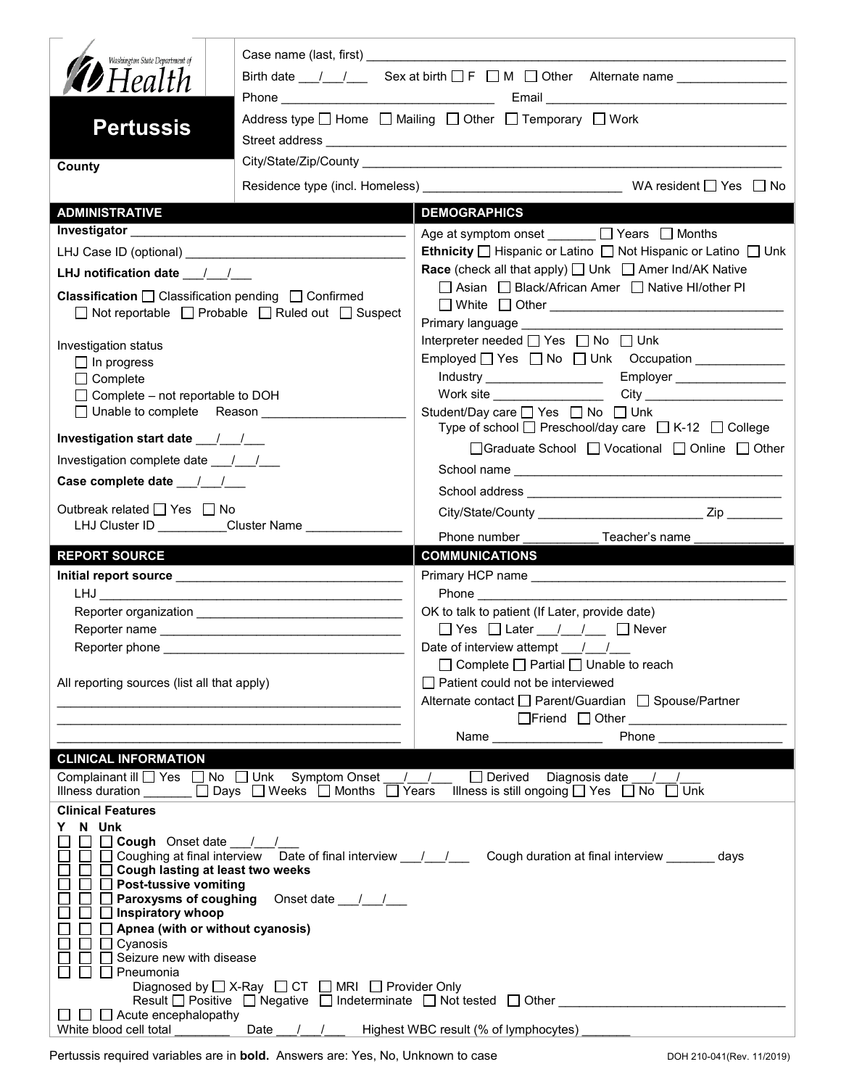| Washington State Department of<br><b>12</b> Health<br><b>Pertussis</b>                                                                                                                                  | Birth date $\frac{1}{\sqrt{2}}$ Sex at birth $\Box$ F $\Box$ M $\Box$ Other Alternate name $\Box$<br>Address type   Home   Mailing   Other   Temporary   Work |                                                                                                                                                                                                                                    |  |  |  |
|---------------------------------------------------------------------------------------------------------------------------------------------------------------------------------------------------------|---------------------------------------------------------------------------------------------------------------------------------------------------------------|------------------------------------------------------------------------------------------------------------------------------------------------------------------------------------------------------------------------------------|--|--|--|
| County                                                                                                                                                                                                  |                                                                                                                                                               |                                                                                                                                                                                                                                    |  |  |  |
|                                                                                                                                                                                                         |                                                                                                                                                               |                                                                                                                                                                                                                                    |  |  |  |
| <b>ADMINISTRATIVE</b>                                                                                                                                                                                   |                                                                                                                                                               | <b>DEMOGRAPHICS</b>                                                                                                                                                                                                                |  |  |  |
|                                                                                                                                                                                                         |                                                                                                                                                               | Age at symptom onset ______ □ Years □ Months                                                                                                                                                                                       |  |  |  |
|                                                                                                                                                                                                         |                                                                                                                                                               | <b>Ethnicity</b> $\Box$ Hispanic or Latino $\Box$ Not Hispanic or Latino $\Box$ Unk                                                                                                                                                |  |  |  |
| LHJ notification date $\frac{1}{2}$                                                                                                                                                                     |                                                                                                                                                               | <b>Race</b> (check all that apply) $\Box$ Unk $\Box$ Amer Ind/AK Native                                                                                                                                                            |  |  |  |
| <b>Classification</b> $\Box$ Classification pending $\Box$ Confirmed<br>$\Box$ Not reportable $\Box$ Probable $\Box$ Ruled out $\Box$ Suspect                                                           |                                                                                                                                                               | □ Asian □ Black/African Amer □ Native HI/other PI<br>□ White □ Other <u>___________________________________</u>                                                                                                                    |  |  |  |
|                                                                                                                                                                                                         |                                                                                                                                                               | Primary language ____________<br>Interpreter needed □ Yes □ No □ Unk                                                                                                                                                               |  |  |  |
| Investigation status                                                                                                                                                                                    |                                                                                                                                                               |                                                                                                                                                                                                                                    |  |  |  |
| $\Box$ In progress<br>$\Box$ Complete                                                                                                                                                                   |                                                                                                                                                               |                                                                                                                                                                                                                                    |  |  |  |
| $\Box$ Complete – not reportable to DOH                                                                                                                                                                 |                                                                                                                                                               | City <b>City</b><br>Work site __________________                                                                                                                                                                                   |  |  |  |
| □ Unable to complete Reason ___________                                                                                                                                                                 |                                                                                                                                                               | Student/Day care □ Yes □ No □ Unk<br>Type of school □ Preschool/day care □ K-12 □ College                                                                                                                                          |  |  |  |
| Investigation start date 11                                                                                                                                                                             |                                                                                                                                                               | □ Graduate School □ Vocational □ Online □ Other                                                                                                                                                                                    |  |  |  |
| Investigation complete date ___/___/___                                                                                                                                                                 |                                                                                                                                                               |                                                                                                                                                                                                                                    |  |  |  |
|                                                                                                                                                                                                         |                                                                                                                                                               |                                                                                                                                                                                                                                    |  |  |  |
| Outbreak related $\Box$ Yes $\Box$ No<br>LHJ Cluster ID _________Cluster Name ___________                                                                                                               |                                                                                                                                                               | Phone number                                                                                                                                                                                                                       |  |  |  |
|                                                                                                                                                                                                         |                                                                                                                                                               | _ Teacher's name _                                                                                                                                                                                                                 |  |  |  |
|                                                                                                                                                                                                         |                                                                                                                                                               |                                                                                                                                                                                                                                    |  |  |  |
| <b>REPORT SOURCE</b>                                                                                                                                                                                    |                                                                                                                                                               | <b>COMMUNICATIONS</b>                                                                                                                                                                                                              |  |  |  |
|                                                                                                                                                                                                         |                                                                                                                                                               | Primary HCP name                                                                                                                                                                                                                   |  |  |  |
|                                                                                                                                                                                                         |                                                                                                                                                               | OK to talk to patient (If Later, provide date)                                                                                                                                                                                     |  |  |  |
|                                                                                                                                                                                                         |                                                                                                                                                               | $\Box$ Yes $\Box$ Later / / $\Box$ Never                                                                                                                                                                                           |  |  |  |
| Reporter phone                                                                                                                                                                                          |                                                                                                                                                               | Date of interview attempt ___/___/___                                                                                                                                                                                              |  |  |  |
|                                                                                                                                                                                                         |                                                                                                                                                               | $\Box$ Complete $\Box$ Partial $\Box$ Unable to reach                                                                                                                                                                              |  |  |  |
| All reporting sources (list all that apply)                                                                                                                                                             |                                                                                                                                                               | $\Box$ Patient could not be interviewed                                                                                                                                                                                            |  |  |  |
|                                                                                                                                                                                                         |                                                                                                                                                               | Alternate contact □ Parent/Guardian □ Spouse/Partner                                                                                                                                                                               |  |  |  |
|                                                                                                                                                                                                         |                                                                                                                                                               |                                                                                                                                                                                                                                    |  |  |  |
|                                                                                                                                                                                                         |                                                                                                                                                               | <b>Phone Contract Contract Contract Contract Contract Contract Contract Contract Contract Contract Contract Contract Contract Contract Contract Contract Contract Contract Contract Contract Contract Contract Contract Contra</b> |  |  |  |
| <b>CLINICAL INFORMATION</b>                                                                                                                                                                             |                                                                                                                                                               |                                                                                                                                                                                                                                    |  |  |  |
|                                                                                                                                                                                                         | Illness duration _______ □ Days □ Weeks □ Months □ Years                                                                                                      | Complainant ill $\Box$ Yes $\Box$ No $\Box$ Unk Symptom Onset $\Box$ / $\Box$ Derived Diagnosis date /<br>Illness is still ongoing $\Box$ Yes $\Box$ No $\Box$ Unk                                                                 |  |  |  |
| <b>Clinical Features</b>                                                                                                                                                                                |                                                                                                                                                               |                                                                                                                                                                                                                                    |  |  |  |
| N Unk<br>Y.<br>Cough Onset date //<br>Cough lasting at least two weeks<br>$\Box$ Post-tussive vomiting<br>Inspiratory whoop<br>Apnea (with or without cyanosis)<br>Cyanosis<br>Seizure new with disease | <b>Paroxysms of coughing</b> Onset date 11                                                                                                                    | $\Box$ Coughing at final interview Date of final interview $\Box$ Cough duration at final interview ________ days                                                                                                                  |  |  |  |
| Pneumonia<br>$\Box$ $\Box$ Acute encephalopathy                                                                                                                                                         | Diagnosed by $\Box$ X-Ray $\Box$ CT $\Box$ MRI $\Box$ Provider Only                                                                                           | Result $\Box$ Positive $\Box$ Negative $\Box$ Indeterminate $\Box$ Not tested $\Box$ Other<br>Highest WBC result (% of lymphocytes) _______                                                                                        |  |  |  |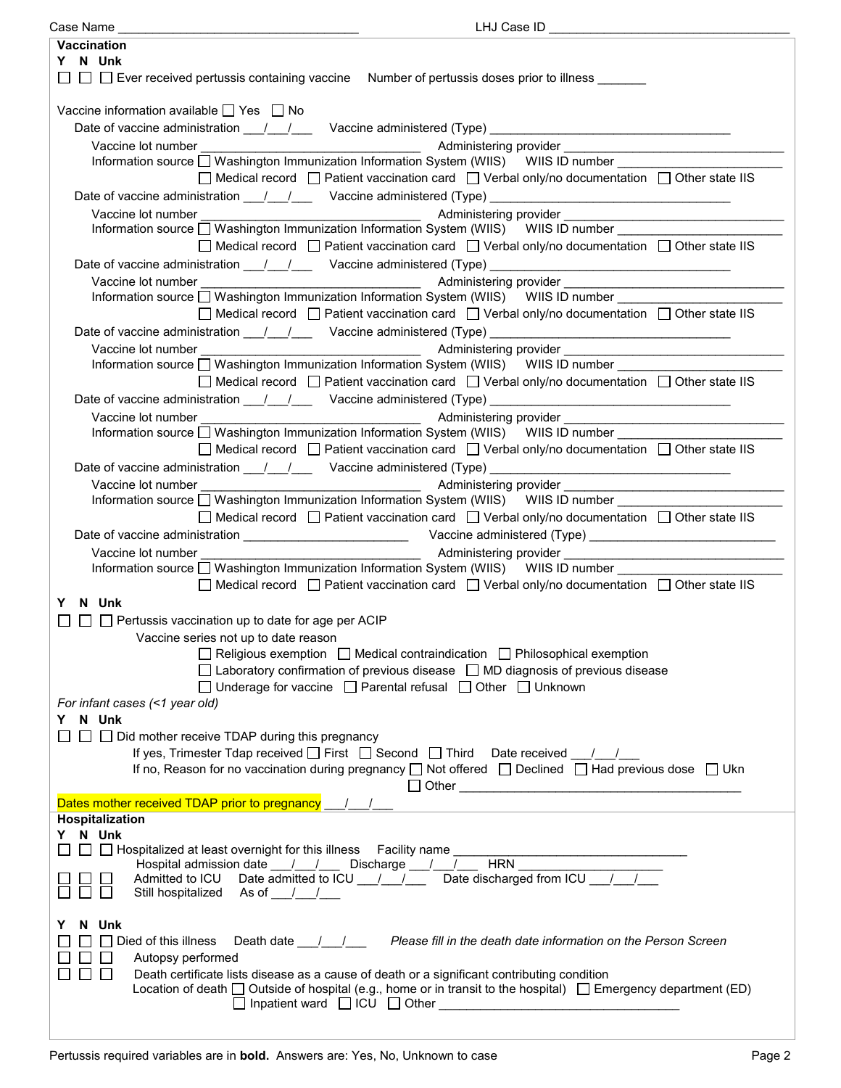| Case Name                                                                                                                | LHJ Case ID                                                                                                                                                                                                                         |  |  |  |
|--------------------------------------------------------------------------------------------------------------------------|-------------------------------------------------------------------------------------------------------------------------------------------------------------------------------------------------------------------------------------|--|--|--|
| <b>Vaccination</b>                                                                                                       |                                                                                                                                                                                                                                     |  |  |  |
| Y N Unk                                                                                                                  |                                                                                                                                                                                                                                     |  |  |  |
|                                                                                                                          | □ □ Ever received pertussis containing vaccine Number of pertussis doses prior to illness _______                                                                                                                                   |  |  |  |
| Vaccine information available $\Box$ Yes $\Box$ No                                                                       |                                                                                                                                                                                                                                     |  |  |  |
|                                                                                                                          | Date of vaccine administration ___/___/ ___ Vaccine administered (Type) __________________________________                                                                                                                          |  |  |  |
| Vaccine lot number                                                                                                       |                                                                                                                                                                                                                                     |  |  |  |
|                                                                                                                          | and the control of the control of the control of the control of the control of the control of the control of t<br>Information source □ Washington Immunization Information System (WIIS) WIIS ID number                             |  |  |  |
|                                                                                                                          |                                                                                                                                                                                                                                     |  |  |  |
|                                                                                                                          | $\Box$ Medical record $\Box$ Patient vaccination card $\Box$ Verbal only/no documentation $\Box$ Other state IIS                                                                                                                    |  |  |  |
|                                                                                                                          | Date of vaccine administration ____/ ___/ ____ Vaccine administered (Type) __________________________________                                                                                                                       |  |  |  |
| Vaccine lot number                                                                                                       |                                                                                                                                                                                                                                     |  |  |  |
|                                                                                                                          | Information source Mashington Immunization Information System (WIIS) WIIS ID number _________                                                                                                                                       |  |  |  |
|                                                                                                                          | □ Medical record □ Patient vaccination card □ Verbal only/no documentation □ Other state IIS                                                                                                                                        |  |  |  |
|                                                                                                                          | Date of vaccine administration ____/____/ ____ Vaccine administered (Type) __________________________________                                                                                                                       |  |  |  |
| Vaccine lot number                                                                                                       | Administering provider <b>contracts</b> and the contract of the contract of the contract of the contract of the contract of the contract of the contract of the contract of the contract of the contract of the contract of the con |  |  |  |
|                                                                                                                          | Information source □ Washington Immunization Information System (WIIS) WIIS ID number                                                                                                                                               |  |  |  |
|                                                                                                                          | □ Medical record □ Patient vaccination card □ Verbal only/no documentation □ Other state IIS                                                                                                                                        |  |  |  |
|                                                                                                                          |                                                                                                                                                                                                                                     |  |  |  |
|                                                                                                                          | Date of vaccine administration 1.1.1. Vaccine administered (Type) [1988]                                                                                                                                                            |  |  |  |
|                                                                                                                          |                                                                                                                                                                                                                                     |  |  |  |
|                                                                                                                          | Information source □ Washington Immunization Information System (WIIS) WIIS ID number                                                                                                                                               |  |  |  |
|                                                                                                                          | □ Medical record □ Patient vaccination card □ Verbal only/no documentation □ Other state IIS                                                                                                                                        |  |  |  |
|                                                                                                                          | Date of vaccine administration 11/2000 Vaccine administered (Type) 2008. [2010]                                                                                                                                                     |  |  |  |
| Vaccine lot number                                                                                                       | and the contract of the contract of a series of a series of the contract of the contract of the contract of the contract of the contract of the contract of the contract of the contract of the contract of the contract of th      |  |  |  |
|                                                                                                                          | Information source □ Washington Immunization Information System (WIIS) WIIS ID number                                                                                                                                               |  |  |  |
|                                                                                                                          | $\Box$ Medical record $\Box$ Patient vaccination card $\Box$ Verbal only/no documentation $\Box$ Other state IIS                                                                                                                    |  |  |  |
|                                                                                                                          |                                                                                                                                                                                                                                     |  |  |  |
|                                                                                                                          | Date of vaccine administration 11/2000 Vaccine administered (Type) 2008. [2010]                                                                                                                                                     |  |  |  |
| Vaccine lot number                                                                                                       | <u> 1989 - Johann Barn, mars an t-Amerikaansk politiker (</u>                                                                                                                                                                       |  |  |  |
|                                                                                                                          | Information source □ Washington Immunization Information System (WIIS) WIIS ID number _______                                                                                                                                       |  |  |  |
|                                                                                                                          | $\Box$ Medical record $\Box$ Patient vaccination card $\Box$ Verbal only/no documentation $\Box$ Other state IIS                                                                                                                    |  |  |  |
|                                                                                                                          |                                                                                                                                                                                                                                     |  |  |  |
| Vaccine lot number                                                                                                       |                                                                                                                                                                                                                                     |  |  |  |
|                                                                                                                          | Information source □ Washington Immunization Information System (WIIS) WIIS ID number ________________________                                                                                                                      |  |  |  |
|                                                                                                                          | $\Box$ Medical record $\Box$ Patient vaccination card $\Box$ Verbal only/no documentation $\Box$ Other state IIS                                                                                                                    |  |  |  |
| Y N Unk                                                                                                                  |                                                                                                                                                                                                                                     |  |  |  |
|                                                                                                                          |                                                                                                                                                                                                                                     |  |  |  |
| $\Box$ Pertussis vaccination up to date for age per ACIP                                                                 |                                                                                                                                                                                                                                     |  |  |  |
| Vaccine series not up to date reason                                                                                     |                                                                                                                                                                                                                                     |  |  |  |
|                                                                                                                          | $\Box$ Religious exemption $\Box$ Medical contraindication $\Box$ Philosophical exemption                                                                                                                                           |  |  |  |
|                                                                                                                          | $\Box$ Laboratory confirmation of previous disease $\Box$ MD diagnosis of previous disease                                                                                                                                          |  |  |  |
|                                                                                                                          | □ Underage for vaccine □ Parental refusal □ Other □ Unknown                                                                                                                                                                         |  |  |  |
| For infant cases (<1 year old)                                                                                           |                                                                                                                                                                                                                                     |  |  |  |
| Y N Unk                                                                                                                  |                                                                                                                                                                                                                                     |  |  |  |
| $\Box$ Did mother receive TDAP during this pregnancy                                                                     |                                                                                                                                                                                                                                     |  |  |  |
|                                                                                                                          | If yes, Trimester Tdap received $\Box$ First $\Box$ Second $\Box$ Third Date received / /                                                                                                                                           |  |  |  |
|                                                                                                                          | If no, Reason for no vaccination during pregnancy $\Box$ Not offered $\Box$ Declined $\Box$ Had previous dose $\Box$ Ukn                                                                                                            |  |  |  |
|                                                                                                                          |                                                                                                                                                                                                                                     |  |  |  |
| Dates mother received TDAP prior to pregnancy                                                                            |                                                                                                                                                                                                                                     |  |  |  |
| Hospitalization                                                                                                          |                                                                                                                                                                                                                                     |  |  |  |
| Y N Unk                                                                                                                  |                                                                                                                                                                                                                                     |  |  |  |
|                                                                                                                          | $\Box$ Hospitalized at least overnight for this illness Facility name                                                                                                                                                               |  |  |  |
|                                                                                                                          |                                                                                                                                                                                                                                     |  |  |  |
|                                                                                                                          | Admitted to ICU Date admitted to ICU 1 1 2 Date discharged from ICU 1 2                                                                                                                                                             |  |  |  |
| Still hospitalized As of //                                                                                              |                                                                                                                                                                                                                                     |  |  |  |
|                                                                                                                          |                                                                                                                                                                                                                                     |  |  |  |
| N Unk<br>Y                                                                                                               |                                                                                                                                                                                                                                     |  |  |  |
| $\Box$ Died of this illness                                                                                              |                                                                                                                                                                                                                                     |  |  |  |
| Autopsy performed<br>$\mathsf{L}$                                                                                        |                                                                                                                                                                                                                                     |  |  |  |
| $\Box$<br>Death certificate lists disease as a cause of death or a significant contributing condition<br>ΙI              |                                                                                                                                                                                                                                     |  |  |  |
| Location of death $\Box$ Outside of hospital (e.g., home or in transit to the hospital) $\Box$ Emergency department (ED) |                                                                                                                                                                                                                                     |  |  |  |
|                                                                                                                          |                                                                                                                                                                                                                                     |  |  |  |
|                                                                                                                          |                                                                                                                                                                                                                                     |  |  |  |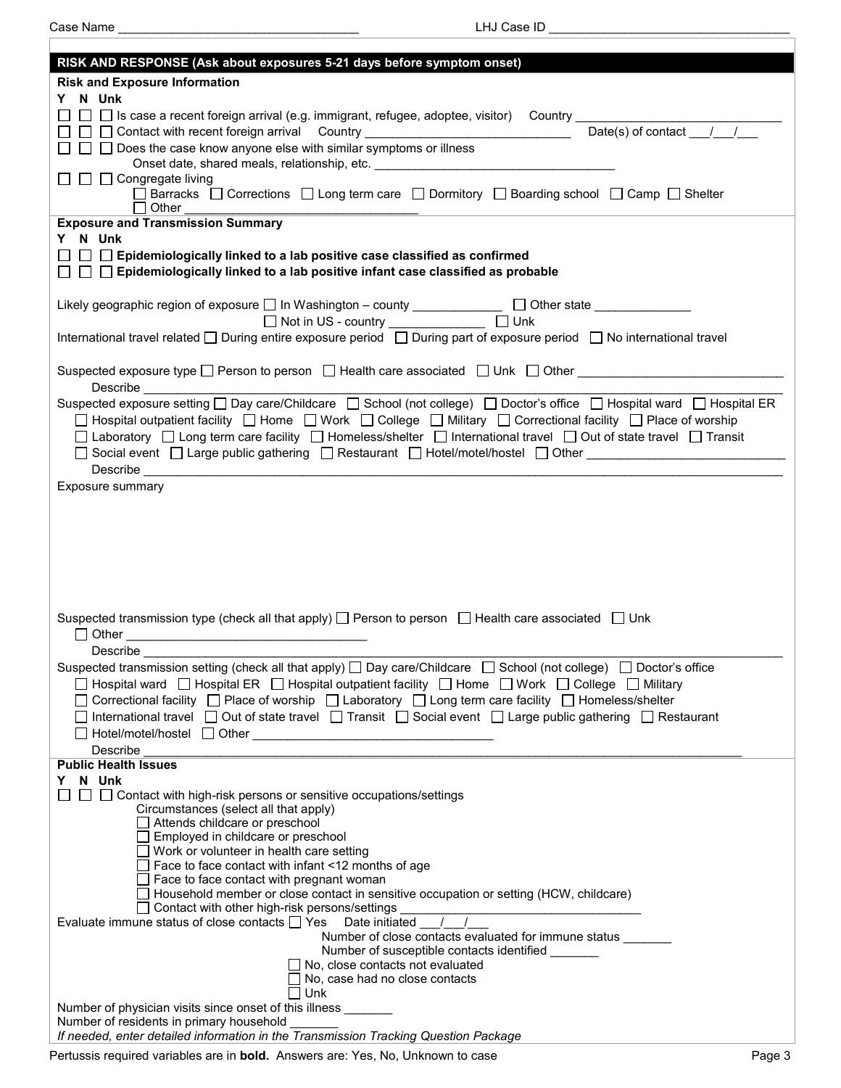$\Gamma$ 

Case Name \_\_\_\_\_\_\_\_\_\_\_\_\_\_\_\_\_\_\_\_\_\_\_\_\_\_\_\_\_\_\_\_\_\_\_ LHJ Case ID \_\_\_\_\_\_\_\_\_\_\_\_\_\_\_\_\_\_\_\_\_\_\_\_\_\_\_\_\_\_\_\_\_\_\_

| RISK AND RESPONSE (Ask about exposures 5-21 days before symptom onset)                                                                                                                                                                                                     |  |  |  |  |
|----------------------------------------------------------------------------------------------------------------------------------------------------------------------------------------------------------------------------------------------------------------------------|--|--|--|--|
| <b>Risk and Exposure Information</b>                                                                                                                                                                                                                                       |  |  |  |  |
| Y N Unk                                                                                                                                                                                                                                                                    |  |  |  |  |
| □ □ Is case a recent foreign arrival (e.g. immigrant, refugee, adoptee, visitor)  Country ___________________________                                                                                                                                                      |  |  |  |  |
| Date(s) of contact $1/\sqrt{2}$<br>□ □ Contact with recent foreign arrival Country _______________________________                                                                                                                                                         |  |  |  |  |
| $\Box$ Does the case know anyone else with similar symptoms or illness                                                                                                                                                                                                     |  |  |  |  |
| Onset date, shared meals, relationship, etc. ___________________________________<br>$\Box$ $\Box$ $\Box$ Congregate living                                                                                                                                                 |  |  |  |  |
| □ Barracks □ Corrections □ Long term care □ Dormitory □ Boarding school □ Camp □ Shelter                                                                                                                                                                                   |  |  |  |  |
| Other                                                                                                                                                                                                                                                                      |  |  |  |  |
| <b>Exposure and Transmission Summary</b>                                                                                                                                                                                                                                   |  |  |  |  |
| Y N Unk                                                                                                                                                                                                                                                                    |  |  |  |  |
| □ □ Epidemiologically linked to a lab positive case classified as confirmed                                                                                                                                                                                                |  |  |  |  |
| $\Box~\Box~\Box$ Epidemiologically linked to a lab positive infant case classified as probable                                                                                                                                                                             |  |  |  |  |
| Likely geographic region of exposure □ In Washington - county _____________ □ Other state __________                                                                                                                                                                       |  |  |  |  |
| $\Box$ Unk<br>Not in US - country ______________                                                                                                                                                                                                                           |  |  |  |  |
| International travel related □ During entire exposure period □ During part of exposure period □ No international travel                                                                                                                                                    |  |  |  |  |
|                                                                                                                                                                                                                                                                            |  |  |  |  |
| Suspected exposure type □ Person to person □ Health care associated □ Unk □ Other _____________________________                                                                                                                                                            |  |  |  |  |
|                                                                                                                                                                                                                                                                            |  |  |  |  |
| Suspected exposure setting □ Day care/Childcare □ School (not college) □ Doctor's office □ Hospital ward □ Hospital ER                                                                                                                                                     |  |  |  |  |
| □ Hospital outpatient facility □ Home □ Work □ College □ Military □ Correctional facility □ Place of worship                                                                                                                                                               |  |  |  |  |
| □ Laboratory □ Long term care facility □ Homeless/shelter □ International travel □ Out of state travel □ Transit                                                                                                                                                           |  |  |  |  |
| □ Social event □ Large public gathering □ Restaurant □ Hotel/motel/hostel □ Other _______________________                                                                                                                                                                  |  |  |  |  |
|                                                                                                                                                                                                                                                                            |  |  |  |  |
| Exposure summary                                                                                                                                                                                                                                                           |  |  |  |  |
|                                                                                                                                                                                                                                                                            |  |  |  |  |
|                                                                                                                                                                                                                                                                            |  |  |  |  |
|                                                                                                                                                                                                                                                                            |  |  |  |  |
|                                                                                                                                                                                                                                                                            |  |  |  |  |
|                                                                                                                                                                                                                                                                            |  |  |  |  |
|                                                                                                                                                                                                                                                                            |  |  |  |  |
| Suspected transmission type (check all that apply) $\Box$ Person to person $\Box$ Health care associated $\Box$ Unk                                                                                                                                                        |  |  |  |  |
|                                                                                                                                                                                                                                                                            |  |  |  |  |
|                                                                                                                                                                                                                                                                            |  |  |  |  |
| Suspected transmission setting (check all that apply) $\Box$ Day care/Childcare $\Box$ School (not college) $\Box$ Doctor's office                                                                                                                                         |  |  |  |  |
| $\Box$ Hospital ward $\Box$ Hospital ER $\Box$ Hospital outpatient facility $\Box$ Home $\Box$ Work $\ \Box$ College $\ \Box$ Military                                                                                                                                     |  |  |  |  |
| $\Box$ Correctional facility $\Box$ Place of worship $\Box$ Laboratory $\Box$ Long term care facility $\Box$ Homeless/shelter<br>$\Box$ International travel $\Box$ Out of state travel $\Box$ Transit $\Box$ Social event $\Box$ Large public gathering $\Box$ Restaurant |  |  |  |  |
|                                                                                                                                                                                                                                                                            |  |  |  |  |
| Describe                                                                                                                                                                                                                                                                   |  |  |  |  |
| <b>Public Health Issues</b>                                                                                                                                                                                                                                                |  |  |  |  |
| N Unk<br>Y.                                                                                                                                                                                                                                                                |  |  |  |  |
| □ Contact with high-risk persons or sensitive occupations/settings<br>$\perp$                                                                                                                                                                                              |  |  |  |  |
| Circumstances (select all that apply)<br>Attends childcare or preschool                                                                                                                                                                                                    |  |  |  |  |
| $\Box$ Employed in childcare or preschool                                                                                                                                                                                                                                  |  |  |  |  |
| $\Box$ Work or volunteer in health care setting                                                                                                                                                                                                                            |  |  |  |  |
| $\Box$ Face to face contact with infant <12 months of age                                                                                                                                                                                                                  |  |  |  |  |
| $\Box$ Face to face contact with pregnant woman<br>$\Box$ Household member or close contact in sensitive occupation or setting (HCW, childcare)                                                                                                                            |  |  |  |  |
| Contact with other high-risk persons/settings                                                                                                                                                                                                                              |  |  |  |  |
| Evaluate immune status of close contacts $\Box$ Yes<br>Date initiated                                                                                                                                                                                                      |  |  |  |  |
| Number of close contacts evaluated for immune status                                                                                                                                                                                                                       |  |  |  |  |
| Number of susceptible contacts identified                                                                                                                                                                                                                                  |  |  |  |  |
| No, close contacts not evaluated<br>No, case had no close contacts                                                                                                                                                                                                         |  |  |  |  |
| Unk                                                                                                                                                                                                                                                                        |  |  |  |  |
| Number of physician visits since onset of this illness _______                                                                                                                                                                                                             |  |  |  |  |
| Number of residents in primary household                                                                                                                                                                                                                                   |  |  |  |  |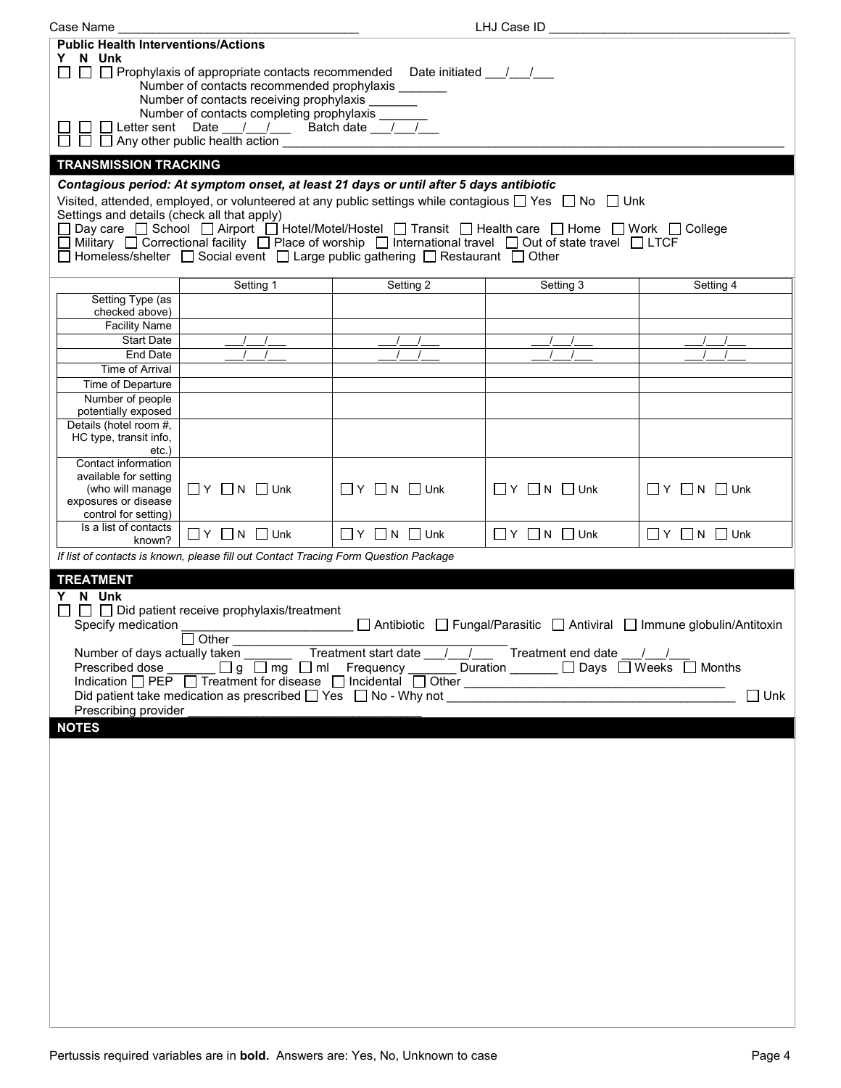| Case Name                                                                                                                                                                            |                                                                                                                                                                                                                            |                                  | LHJ Case ID                      |                                                                         |  |
|--------------------------------------------------------------------------------------------------------------------------------------------------------------------------------------|----------------------------------------------------------------------------------------------------------------------------------------------------------------------------------------------------------------------------|----------------------------------|----------------------------------|-------------------------------------------------------------------------|--|
| <b>Public Health Interventions/Actions</b><br>Y N Unk                                                                                                                                |                                                                                                                                                                                                                            |                                  |                                  |                                                                         |  |
| □ □ Prophylaxis of appropriate contacts recommended Date initiated __/__/__<br>Number of contacts recommended prophylaxis ______<br>Number of contacts receiving prophylaxis _______ |                                                                                                                                                                                                                            |                                  |                                  |                                                                         |  |
| Number of contacts completing prophylaxis ____<br>Letter sent Date / / Batch date / /<br>$\Box$ Any other public health action                                                       |                                                                                                                                                                                                                            |                                  |                                  |                                                                         |  |
| <b>TRANSMISSION TRACKING</b>                                                                                                                                                         |                                                                                                                                                                                                                            |                                  |                                  |                                                                         |  |
|                                                                                                                                                                                      | Contagious period: At symptom onset, at least 21 days or until after 5 days antibiotic                                                                                                                                     |                                  |                                  |                                                                         |  |
| Settings and details (check all that apply)                                                                                                                                          | Visited, attended, employed, or volunteered at any public settings while contagious $\Box$ Yes $\Box$ No $\Box$ Unk                                                                                                        |                                  |                                  |                                                                         |  |
|                                                                                                                                                                                      | Day care □ School □ Airport □ Hotel/Motel/Hostel □ Transit □ Health care □ Home □ Work □ College                                                                                                                           |                                  |                                  |                                                                         |  |
|                                                                                                                                                                                      | $\Box$ Military $\Box$ Correctional facility $\Box$ Place of worship $\Box$ International travel $\Box$ Out of state travel $\Box$ LTCF<br>□ Homeless/shelter □ Social event □ Large public gathering □ Restaurant □ Other |                                  |                                  |                                                                         |  |
|                                                                                                                                                                                      |                                                                                                                                                                                                                            |                                  |                                  |                                                                         |  |
|                                                                                                                                                                                      | Setting 1                                                                                                                                                                                                                  | Setting 2                        | Setting 3                        | Setting 4                                                               |  |
| Setting Type (as<br>checked above)                                                                                                                                                   |                                                                                                                                                                                                                            |                                  |                                  |                                                                         |  |
| <b>Facility Name</b>                                                                                                                                                                 |                                                                                                                                                                                                                            |                                  |                                  |                                                                         |  |
| <b>Start Date</b><br>End Date                                                                                                                                                        |                                                                                                                                                                                                                            |                                  |                                  |                                                                         |  |
| <b>Time of Arrival</b>                                                                                                                                                               |                                                                                                                                                                                                                            |                                  |                                  |                                                                         |  |
| Time of Departure                                                                                                                                                                    |                                                                                                                                                                                                                            |                                  |                                  |                                                                         |  |
| Number of people<br>potentially exposed                                                                                                                                              |                                                                                                                                                                                                                            |                                  |                                  |                                                                         |  |
| Details (hotel room #,<br>HC type, transit info,<br>$etc.$ )                                                                                                                         |                                                                                                                                                                                                                            |                                  |                                  |                                                                         |  |
| Contact information<br>available for setting<br>(who will manage                                                                                                                     | $\Box$ $Y$ $\Box$ $N$ $\Box$ Unk                                                                                                                                                                                           | $\Box$ $Y$ $\Box$ $N$ $\Box$ Unk | $\Box$ $Y$ $\Box$ $N$ $\Box$ Unk | $\Box Y$ $\Box N$ $\Box$ Unk                                            |  |
| exposures or disease<br>control for setting)<br>Is a list of contacts                                                                                                                |                                                                                                                                                                                                                            |                                  |                                  |                                                                         |  |
| known?                                                                                                                                                                               | $\Box$ $Y$ $\Box$ $N$ $\Box$ Unk                                                                                                                                                                                           | $\Box$ $Y$ $\Box$ N $\Box$ Unk   | $\Box$ Y $\Box$ N $\Box$ Unk     | $\Box$ $Y$ $\Box$ N $\Box$ Unk                                          |  |
|                                                                                                                                                                                      | If list of contacts is known, please fill out Contact Tracing Form Question Package                                                                                                                                        |                                  |                                  |                                                                         |  |
| <b>TREATMENT</b>                                                                                                                                                                     |                                                                                                                                                                                                                            |                                  |                                  |                                                                         |  |
| Y N Unk                                                                                                                                                                              | $\Box$ Did patient receive prophylaxis/treatment                                                                                                                                                                           |                                  |                                  |                                                                         |  |
| Specify medication                                                                                                                                                                   | <u> 1990 - Johann Barbara, martin a</u>                                                                                                                                                                                    |                                  |                                  | □ Antibiotic □ Fungal/Parasitic □ Antiviral □ Immune globulin/Antitoxin |  |
|                                                                                                                                                                                      | $\Box$ Other                                                                                                                                                                                                               |                                  |                                  |                                                                         |  |
|                                                                                                                                                                                      | Number of days actually taken _________Treatment start date __/__/______Treatment end date<br>Prescribed dose _______ □ g □ mg □ ml Frequency ______ Duration _____ □ Days □ Weeks □ Months                                |                                  |                                  |                                                                         |  |
|                                                                                                                                                                                      |                                                                                                                                                                                                                            |                                  |                                  |                                                                         |  |
|                                                                                                                                                                                      |                                                                                                                                                                                                                            |                                  |                                  | $\square$ Unk                                                           |  |
| Prescribing provider<br><b>NOTES</b>                                                                                                                                                 |                                                                                                                                                                                                                            |                                  |                                  |                                                                         |  |
|                                                                                                                                                                                      |                                                                                                                                                                                                                            |                                  |                                  |                                                                         |  |
|                                                                                                                                                                                      |                                                                                                                                                                                                                            |                                  |                                  |                                                                         |  |
|                                                                                                                                                                                      |                                                                                                                                                                                                                            |                                  |                                  |                                                                         |  |
|                                                                                                                                                                                      |                                                                                                                                                                                                                            |                                  |                                  |                                                                         |  |
|                                                                                                                                                                                      |                                                                                                                                                                                                                            |                                  |                                  |                                                                         |  |
|                                                                                                                                                                                      |                                                                                                                                                                                                                            |                                  |                                  |                                                                         |  |
|                                                                                                                                                                                      |                                                                                                                                                                                                                            |                                  |                                  |                                                                         |  |
|                                                                                                                                                                                      |                                                                                                                                                                                                                            |                                  |                                  |                                                                         |  |
|                                                                                                                                                                                      |                                                                                                                                                                                                                            |                                  |                                  |                                                                         |  |
|                                                                                                                                                                                      |                                                                                                                                                                                                                            |                                  |                                  |                                                                         |  |
|                                                                                                                                                                                      |                                                                                                                                                                                                                            |                                  |                                  |                                                                         |  |
|                                                                                                                                                                                      |                                                                                                                                                                                                                            |                                  |                                  |                                                                         |  |
|                                                                                                                                                                                      |                                                                                                                                                                                                                            |                                  |                                  |                                                                         |  |
|                                                                                                                                                                                      |                                                                                                                                                                                                                            |                                  |                                  |                                                                         |  |
|                                                                                                                                                                                      |                                                                                                                                                                                                                            |                                  |                                  |                                                                         |  |